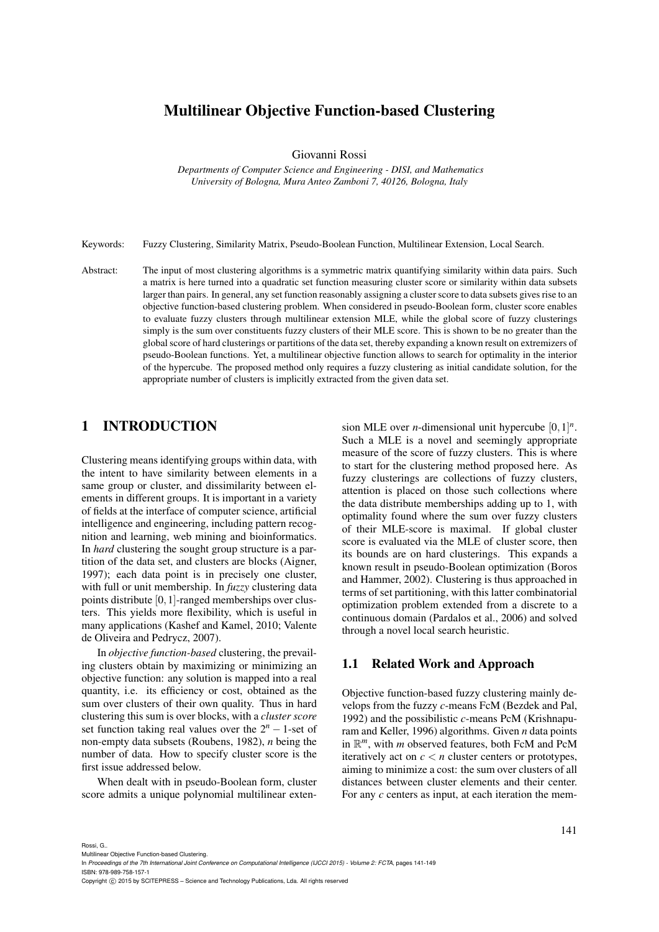# Multilinear Objective Function-based Clustering

Giovanni Rossi

*Departments of Computer Science and Engineering - DISI, and Mathematics University of Bologna, Mura Anteo Zamboni 7, 40126, Bologna, Italy*

Keywords: Fuzzy Clustering, Similarity Matrix, Pseudo-Boolean Function, Multilinear Extension, Local Search.

Abstract: The input of most clustering algorithms is a symmetric matrix quantifying similarity within data pairs. Such a matrix is here turned into a quadratic set function measuring cluster score or similarity within data subsets larger than pairs. In general, any set function reasonably assigning a cluster score to data subsets gives rise to an objective function-based clustering problem. When considered in pseudo-Boolean form, cluster score enables to evaluate fuzzy clusters through multilinear extension MLE, while the global score of fuzzy clusterings simply is the sum over constituents fuzzy clusters of their MLE score. This is shown to be no greater than the global score of hard clusterings or partitions of the data set, thereby expanding a known result on extremizers of pseudo-Boolean functions. Yet, a multilinear objective function allows to search for optimality in the interior of the hypercube. The proposed method only requires a fuzzy clustering as initial candidate solution, for the appropriate number of clusters is implicitly extracted from the given data set.

## 1 INTRODUCTION

Clustering means identifying groups within data, with the intent to have similarity between elements in a same group or cluster, and dissimilarity between elements in different groups. It is important in a variety of fields at the interface of computer science, artificial intelligence and engineering, including pattern recognition and learning, web mining and bioinformatics. In *hard* clustering the sought group structure is a partition of the data set, and clusters are blocks (Aigner, 1997); each data point is in precisely one cluster, with full or unit membership. In *fuzzy* clustering data points distribute [0,1]-ranged memberships over clusters. This yields more flexibility, which is useful in many applications (Kashef and Kamel, 2010; Valente de Oliveira and Pedrycz, 2007).

In *objective function-based* clustering, the prevailing clusters obtain by maximizing or minimizing an objective function: any solution is mapped into a real quantity, i.e. its efficiency or cost, obtained as the sum over clusters of their own quality. Thus in hard clustering this sum is over blocks, with a *cluster score* set function taking real values over the 2*<sup>n</sup>* <sup>−</sup> 1-set of non-empty data subsets (Roubens, 1982), *n* being the number of data. How to specify cluster score is the first issue addressed below.

When dealt with in pseudo-Boolean form, cluster score admits a unique polynomial multilinear exten-

sion MLE over *n*-dimensional unit hypercube  $[0, 1]^n$ . Such a MLE is a novel and seemingly appropriate measure of the score of fuzzy clusters. This is where to start for the clustering method proposed here. As fuzzy clusterings are collections of fuzzy clusters, attention is placed on those such collections where the data distribute memberships adding up to 1, with optimality found where the sum over fuzzy clusters of their MLE-score is maximal. If global cluster score is evaluated via the MLE of cluster score, then its bounds are on hard clusterings. This expands a known result in pseudo-Boolean optimization (Boros and Hammer, 2002). Clustering is thus approached in terms of set partitioning, with this latter combinatorial optimization problem extended from a discrete to a continuous domain (Pardalos et al., 2006) and solved through a novel local search heuristic.

#### 1.1 Related Work and Approach

Objective function-based fuzzy clustering mainly develops from the fuzzy *c*-means FcM (Bezdek and Pal, 1992) and the possibilistic *c*-means PcM (Krishnapuram and Keller, 1996) algorithms. Given *n* data points in R *<sup>m</sup>*, with *m* observed features, both FcM and PcM iteratively act on  $c < n$  cluster centers or prototypes, aiming to minimize a cost: the sum over clusters of all distances between cluster elements and their center. For any *c* centers as input, at each iteration the mem-

In *Proceedings of the 7th International Joint Conference on Computational Intelligence (IJCCI 2015) - Volume 2: FCTA*, pages 141-149

ISBN: 978-989-758-157-1

Copyright C 2015 by SCITEPRESS - Science and Technology Publications, Lda. All rights reserved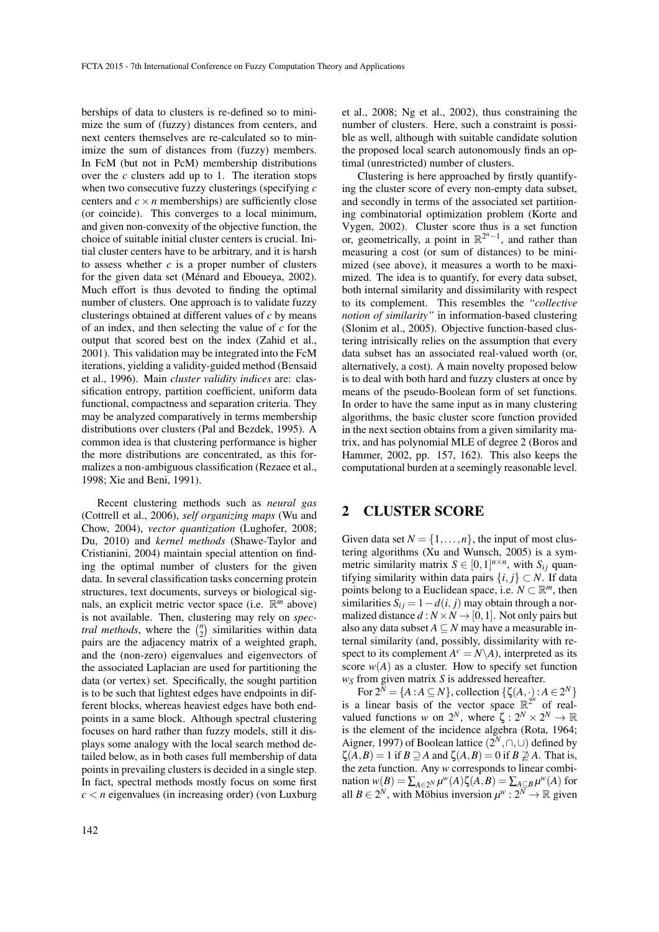berships of data to clusters is re-defined so to minimize the sum of (fuzzy) distances from centers, and next centers themselves are re-calculated so to minimize the sum of distances from (fuzzy) members. In FcM (but not in PcM) membership distributions over the *c* clusters add up to 1. The iteration stops when two consecutive fuzzy clusterings (specifying *c* centers and  $c \times n$  memberships) are sufficiently close (or coincide). This converges to a local minimum, and given non-convexity of the objective function, the choice of suitable initial cluster centers is crucial. Initial cluster centers have to be arbitrary, and it is harsh to assess whether *c* is a proper number of clusters for the given data set (Ménard and Eboueya, 2002). Much effort is thus devoted to finding the optimal number of clusters. One approach is to validate fuzzy clusterings obtained at different values of *c* by means of an index, and then selecting the value of *c* for the output that scored best on the index (Zahid et al., 2001). This validation may be integrated into the FcM iterations, yielding a validity-guided method (Bensaid et al., 1996). Main *cluster validity indices* are: classification entropy, partition coefficient, uniform data functional, compactness and separation criteria. They may be analyzed comparatively in terms membership distributions over clusters (Pal and Bezdek, 1995). A common idea is that clustering performance is higher the more distributions are concentrated, as this formalizes a non-ambiguous classification (Rezaee et al., 1998; Xie and Beni, 1991).

Recent clustering methods such as *neural gas* (Cottrell et al., 2006), *self organizing maps* (Wu and Chow, 2004), *vector quantization* (Lughofer, 2008; Du, 2010) and *kernel methods* (Shawe-Taylor and Cristianini, 2004) maintain special attention on finding the optimal number of clusters for the given data. In several classification tasks concerning protein structures, text documents, surveys or biological signals, an explicit metric vector space (i.e. R *<sup>m</sup>* above) is not available. Then, clustering may rely on *spectral methods*, where the  $\binom{n}{2}$  similarities within data pairs are the adjacency matrix of a weighted graph, and the (non-zero) eigenvalues and eigenvectors of the associated Laplacian are used for partitioning the data (or vertex) set. Specifically, the sought partition is to be such that lightest edges have endpoints in different blocks, whereas heaviest edges have both endpoints in a same block. Although spectral clustering focuses on hard rather than fuzzy models, still it displays some analogy with the local search method detailed below, as in both cases full membership of data points in prevailing clusters is decided in a single step. In fact, spectral methods mostly focus on some first  $c < n$  eigenvalues (in increasing order) (von Luxburg et al., 2008; Ng et al., 2002), thus constraining the number of clusters. Here, such a constraint is possible as well, although with suitable candidate solution the proposed local search autonomously finds an optimal (unrestricted) number of clusters.

Clustering is here approached by firstly quantifying the cluster score of every non-empty data subset, and secondly in terms of the associated set partitioning combinatorial optimization problem (Korte and Vygen, 2002). Cluster score thus is a set function or, geometrically, a point in  $\mathbb{R}^{2^n-1}$ , and rather than measuring a cost (or sum of distances) to be minimized (see above), it measures a worth to be maximized. The idea is to quantify, for every data subset, both internal similarity and dissimilarity with respect to its complement. This resembles the *"collective notion of similarity"* in information-based clustering (Slonim et al., 2005). Objective function-based clustering intrisically relies on the assumption that every data subset has an associated real-valued worth (or, alternatively, a cost). A main novelty proposed below is to deal with both hard and fuzzy clusters at once by means of the pseudo-Boolean form of set functions. In order to have the same input as in many clustering algorithms, the basic cluster score function provided in the next section obtains from a given similarity matrix, and has polynomial MLE of degree 2 (Boros and Hammer, 2002, pp. 157, 162). This also keeps the computational burden at a seemingly reasonable level.

## 2 CLUSTER SCORE

Given data set  $N = \{1, \ldots, n\}$ , the input of most clustering algorithms (Xu and Wunsch, 2005) is a symmetric similarity matrix  $S \in [0,1]^{n \times n}$ , with  $S_{ij}$  quantifying similarity within data pairs  $\{i, j\} \subset N$ . If data points belong to a Euclidean space, i.e.  $N \subset \mathbb{R}^m$ , then similarities  $S_{ij} = 1 - d(i, j)$  may obtain through a normalized distance  $d : N \times N \rightarrow [0,1]$ . Not only pairs but also any data subset  $A \subseteq N$  may have a measurable internal similarity (and, possibly, dissimilarity with respect to its complement  $A^c = N \setminus A$ ), interpreted as its score  $w(A)$  as a cluster. How to specify set function *w<sup>S</sup>* from given matrix *S* is addressed hereafter.

For  $2^N = \{A : A \subseteq N\}$ , collection  $\{\zeta(A, \cdot) : A \in 2^N\}$ is a linear basis of the vector space  $\mathbb{R}^{2^n}$  of realvalued functions *w* on  $2^N$ , where  $\zeta : 2^N \times 2^N \to \mathbb{R}$ is the element of the incidence algebra (Rota, 1964; Aigner, 1997) of Boolean lattice  $(2^N, \cap, \cup)$  defined by  $\zeta(A,B) = 1$  if  $B \supseteq A$  and  $\zeta(A,B) = 0$  if  $B \supseteqeq A$ . That is, the zeta function. Any *w* corresponds to linear combi $m(XB) = \sum_{A \in 2^N} \mu^w(A) \zeta(A, B) = \sum_{A \subseteq B} \mu^w(A)$  for all  $B \in 2^N$ , with Möbius inversion  $\mu^w : 2^N \to \mathbb{R}$  given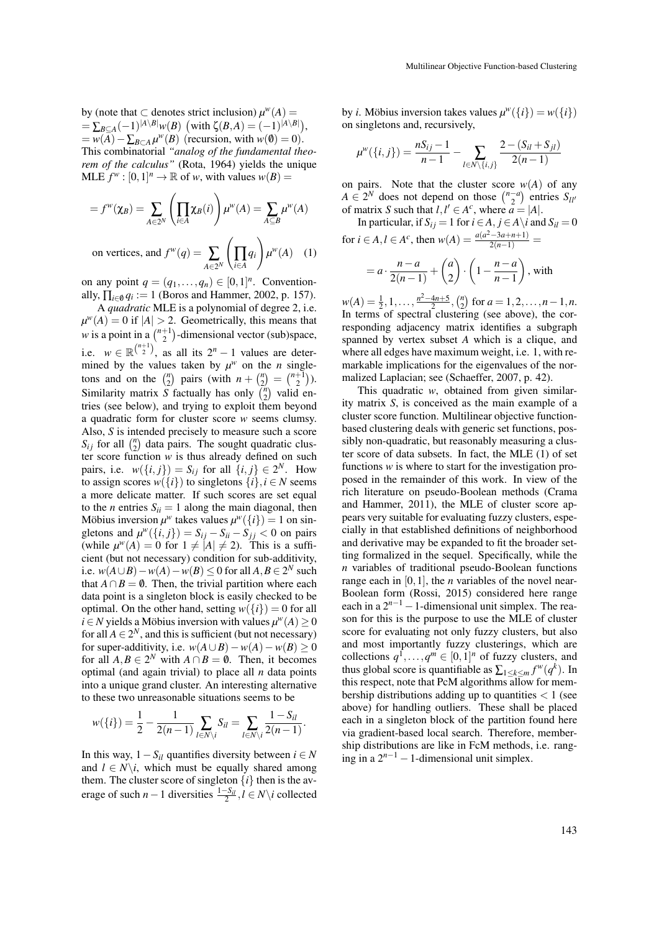by (note that  $\subset$  denotes strict inclusion)  $\mu^w(A)$  =  $= \sum_{B \subseteq A} (-1)^{|A \setminus B|} w(B) \, (\text{with } \zeta(B,A) = (-1)^{|A \setminus B|}),$  $=\overline{w(A)} - \sum_{B \subset A} \mu^w(B)$  (recursion, with  $w(0) = 0$ ). This combinatorial *"analog of the fundamental theorem of the calculus"* (Rota, 1964) yields the unique  $MLE f^{w}$ :  $[0, 1]^{n} \rightarrow \mathbb{R}$  of *w*, with values  $w(B)$  =

$$
=f^{w}(\chi_{B}) = \sum_{A \in 2^{N}} \left(\prod_{i \in A} \chi_{B}(i)\right) \mu^{w}(A) = \sum_{A \subseteq B} \mu^{w}(A)
$$
  
on vertices, and  $f^{w}(q) = \sum \left(\prod q_{i}\right) \mu^{w}(A)$  (1)

on vertices, and  $f^w(q) = \sum$  $\sum_{A\in 2^N} \bigg(\prod_{i\in A}$ *i*∈*A*

on any point  $q = (q_1, \ldots, q_n) \in [0,1]^n$ . Conventionally,  $\prod_{i \in \emptyset} q_i := 1$  (Boros and Hammer, 2002, p. 157).

A *quadratic* MLE is a polynomial of degree 2, i.e.  $\mu^w(A) = 0$  if  $|A| > 2$ . Geometrically, this means that *w* is a point in a  $\binom{n+1}{2}$ -dimensional vector (sub)space, i.e.  $w \in \mathbb{R}^{\binom{n+1}{2}}$ , as all its  $2^n - 1$  values are determined by the values taken by  $\mu^w$  on the *n* singletons and on the  $\binom{n}{2}$  pairs (with  $n + \binom{n}{2} = \binom{n+1}{2}$ ). Similarity matrix S factually has only  $\binom{n}{2}$  valid entries (see below), and trying to exploit them beyond a quadratic form for cluster score *w* seems clumsy. Also, *S* is intended precisely to measure such a score  $S_{ij}$  for all  $\binom{n}{2}$  data pairs. The sought quadratic cluster score function *w* is thus already defined on such pairs, i.e.  $w({i, j}) = S_{ij}$  for all  ${i, j} \in 2^N$ . How to assign scores  $w({i})$  to singletons  ${i}$ ,  $i \in N$  seems a more delicate matter. If such scores are set equal to the *n* entries  $S_{ii} = 1$  along the main diagonal, then Möbius inversion  $\mu^w$  takes values  $\mu^w({i}) = 1$  on singletons and  $\mu^w({i, j}) = S_{ij} - S_{ii} - S_{jj} < 0$  on pairs (while  $\mu^w(A) = 0$  for  $1 \neq |A| \neq 2$ ). This is a sufficient (but not necessary) condition for sub-additivity, i.e.  $w(A \cup B) - w(A) - w(B) \le 0$  for all *A*, *B* ∈ 2<sup>*N*</sup> such that  $A \cap B = \emptyset$ . Then, the trivial partition where each data point is a singleton block is easily checked to be optimal. On the other hand, setting  $w({i}) = 0$  for all  $i \in N$  yields a Möbius inversion with values  $\mu^w(A) \geq 0$ for all  $A \in 2^N$ , and this is sufficient (but not necessary) for super-additivity, i.e.  $w(A \cup B) - w(A) - w(B) \ge 0$ for all  $A, B \in 2^N$  with  $A \cap B = \emptyset$ . Then, it becomes optimal (and again trivial) to place all *n* data points into a unique grand cluster. An interesting alternative to these two unreasonable situations seems to be

$$
w({i}) = \frac{1}{2} - \frac{1}{2(n-1)} \sum_{l \in N \setminus i} S_{il} = \sum_{l \in N \setminus i} \frac{1 - S_{il}}{2(n-1)}.
$$

In this way, 1−*Sil* quantifies diversity between *i* ∈ *N* and  $l \in N \backslash i$ , which must be equally shared among them. The cluster score of singleton  $\{i\}$  then is the average of such *n* − 1 diversities  $\frac{1-S_{il}}{2}$ , *l* ∈ *N*\*i* collected

by *i*. Mobius inversion takes values  $\mu^w({i}) = w({i})$ on singletons and, recursively,

$$
\mu^w(\{i,j\}) = \frac{nS_{ij} - 1}{n-1} - \sum_{l \in N \setminus \{i,j\}} \frac{2 - (S_{il} + S_{jl})}{2(n-1)}
$$

on pairs. Note that the cluster score  $w(A)$  of any  $A \in 2^N$  does not depend on those  $\binom{n-a}{2}$  entries  $S_{ll}$ <sup>*n*</sup> of matrix *S* such that  $l, l' \in A^c$ , where  $a = |A|$ .

In particular, if  $S_{ij} = 1$  for  $i \in A, j \in A \setminus i$  and  $S_{il} = 0$ for  $i \in A, l \in A^c$ , then  $w(A) = \frac{a(a^2 - 3a + n + 1)}{2(n-1)} =$ 

$$
= a \cdot \frac{n-a}{2(n-1)} + {a \choose 2} \cdot \left(1 - \frac{n-a}{n-1}\right)
$$
, with

 $w(A) = \frac{1}{2}, 1, \ldots, \frac{n^2 - 4n + 5}{2}, \binom{n}{2}$  for  $a = 1, 2, \ldots, n - 1, n$ . In terms of spectral clustering (see above), the corresponding adjacency matrix identifies a subgraph spanned by vertex subset *A* which is a clique, and where all edges have maximum weight, i.e. 1, with remarkable implications for the eigenvalues of the normalized Laplacian; see (Schaeffer, 2007, p. 42).

This quadratic *w*, obtained from given similarity matrix *S*, is conceived as the main example of a cluster score function. Multilinear objective functionbased clustering deals with generic set functions, possibly non-quadratic, but reasonably measuring a cluster score of data subsets. In fact, the MLE (1) of set functions *w* is where to start for the investigation proposed in the remainder of this work. In view of the rich literature on pseudo-Boolean methods (Crama and Hammer, 2011), the MLE of cluster score appears very suitable for evaluating fuzzy clusters, especially in that established definitions of neighborhood and derivative may be expanded to fit the broader setting formalized in the sequel. Specifically, while the *n* variables of traditional pseudo-Boolean functions range each in [0, 1], the *n* variables of the novel near-Boolean form (Rossi, 2015) considered here range each in a  $2^{n-1} - 1$ -dimensional unit simplex. The reason for this is the purpose to use the MLE of cluster score for evaluating not only fuzzy clusters, but also and most importantly fuzzy clusterings, which are collections  $q^1, \ldots, q^m \in [0,1]^n$  of fuzzy clusters, and thus global score is quantifiable as  $\sum_{1 \leq k \leq m} f^w(q^k)$ . In this respect, note that PcM algorithms allow for membership distributions adding up to quantities  $< 1$  (see above) for handling outliers. These shall be placed each in a singleton block of the partition found here via gradient-based local search. Therefore, membership distributions are like in FcM methods, i.e. ranging in a  $2^{n-1} - 1$ -dimensional unit simplex.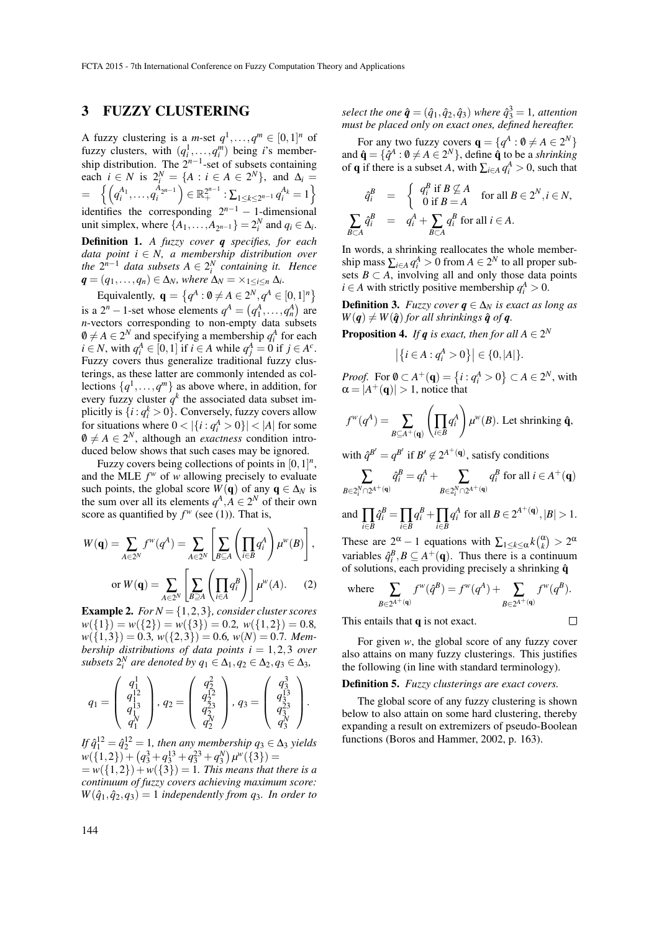## 3 FUZZY CLUSTERING

A fuzzy clustering is a *m*-set  $q^1, \ldots, q^m \in [0,1]^n$  of fuzzy clusters, with  $(q_i^1, \ldots, q_i^m)$  being *i*'s membership distribution. The  $2^{n-1}$ -set of subsets containing each *i* ∈ *N* is  $2_i^N = \{A : i \in A \in 2^N\}$ , and  $\Delta_i =$  $\mathbb{E}\left\{\left(q_{i}^{A_{1}}, \ldots, q_{i}^{A_{2^{n-1}}}\right)\in \mathbb{R}_{+}^{2^{n-1}}: \sum_{1\leq k\leq 2^{n-1}}q_{i}^{A_{k}}=1\right\}$ identifies the corresponding  $2^{n-1} - 1$ -dimensional unit simplex, where  $\{A_1, \ldots, A_{2^{n-1}}\} = 2_i^N$  and  $q_i \in \Delta_i$ . Definition 1. *A fuzzy cover q specifies, for each data point i* ∈ *N, a membership distribution over the*  $2^{n-1}$  *data subsets*  $A \in 2^{N}$  *containing it. Hence*  $q = (q_1, \ldots, q_n) \in \Delta_N$ , where  $\Delta_N = \times_{1 \leq i \leq n} \Delta_i$ .

Equivalently,  $\mathbf{q} = \{q^A : 0 \neq A \in 2^N, q^A \in [0,1]^n\}$ is a  $2^n - 1$ -set whose elements  $q^A = (q_1^A, \dots, q_n^A)$  are *n*-vectors corresponding to non-empty data subsets  $\emptyset \neq A \in 2^N$  and specifying a membership  $q_i^A$  for each  $i \in N$ , with  $q_i^A \in [0,1]$  if  $i \in A$  while  $q_j^A = 0$  if  $j \in A^c$ . Fuzzy covers thus generalize traditional fuzzy clusterings, as these latter are commonly intended as collections  $\{q^1, \ldots, q^m\}$  as above where, in addition, for every fuzzy cluster  $q^k$  the associated data subset implicitly is  $\{i : q_i^k > 0\}$ . Conversely, fuzzy covers allow for situations where  $0 < |\{i : q_i^A > 0\}| < |A|$  for some  $0 \neq A \in 2^N$ , although an *exactness* condition introduced below shows that such cases may be ignored.

Fuzzy covers being collections of points in  $[0,1]^n$ , and the MLE  $f^w$  of *w* allowing precisely to evaluate such points, the global score  $W(\mathbf{q})$  of any  $\mathbf{q} \in \Delta_N$  is the sum over all its elements  $q^A$ ,  $A \in 2^N$  of their own score as quantified by  $f^w$  (see (1)). That is,

$$
W(\mathbf{q}) = \sum_{A \in 2^N} f^w(q^A) = \sum_{A \in 2^N} \left[ \sum_{B \subseteq A} \left( \prod_{i \in B} q_i^A \right) \mu^w(B) \right],
$$
  
or 
$$
W(\mathbf{q}) = \sum_{A \in 2^N} \left[ \sum_{B \supseteq A} \left( \prod_{i \in A} q_i^B \right) \right] \mu^w(A).
$$
 (2)

**Example 2.** *For*  $N = \{1, 2, 3\}$ *, consider cluster scores*  $w({1}) = w({2}) = w({3}) = 0.2, w({1,2}) = 0.8$  $w({1,3}) = 0.3, w({2,3}) = 0.6, w(N) = 0.7$ . Mem*bership distributions of data points*  $i = 1,2,3$  *over* subsets  $2_i^N$  are denoted by  $q_1 \in \Delta_1, q_2 \in \Delta_2, q_3 \in \Delta_3$ ,

$$
q_1 = \left(\begin{array}{c} q_1^1 \\ q_1^{12} \\ q_1^1 \\ q_1^N \end{array}\right), q_2 = \left(\begin{array}{c} q_2^2 \\ q_2^{12} \\ q_2^{23} \\ q_2^N \end{array}\right), q_3 = \left(\begin{array}{c} q_3^3 \\ q_3^{13} \\ q_3^{23} \\ q_3^N \end{array}\right).
$$

*If*  $\hat{q}_1^{12} = \hat{q}_2^{12} = 1$ , then any membership  $q_3 \in \Delta_3$  yields  $w({1,2}) + (q_3^3 + q_3^{13} + q_3^{23} + q_3^{N})w^{\prime\prime}({3}) =$ 

 $= w({1,2}) + w({3}) = 1$ *. This means that there is a continuum of fuzzy covers achieving maximum score:*  $W(\hat{q}_1, \hat{q}_2, q_3) = 1$  *independently from q<sub>3</sub>. In order to* 

*select the one*  $\hat{\boldsymbol{q}} = (\hat{q}_1, \hat{q}_2, \hat{q}_3)$  *where*  $\hat{q}_3^3 = 1$ *, attention must be placed only on exact ones, defined hereafter.*

For any two fuzzy covers  $\mathbf{q} = \{q^A : \mathbf{0} \neq A \in 2^N\}$ and  $\hat{\mathbf{q}} = \{ \hat{q}^A : \mathbf{0} \neq A \in 2^N \}$ , define  $\hat{\mathbf{q}}$  to be a *shrinking* of **q** if there is a subset *A*, with  $\sum_{i \in A} q_i^A > 0$ , such that

$$
\begin{aligned}\n\hat{q}_i^B &= \begin{cases}\nq_i^B & \text{if } B \not\subseteq A \\
0 & \text{if } B = A\n\end{cases} \text{ for all } B \in 2^N, i \in N, \\
\sum_{B \subset A} \hat{q}_i^B &= q_i^A + \sum_{B \subset A} q_i^B \text{ for all } i \in A.\n\end{cases}\n\end{aligned}
$$

In words, a shrinking reallocates the whole membership mass  $\sum_{i \in A} q_i^A > 0$  from  $A \in 2^N$  to all proper subsets  $B \subset A$ , involving all and only those data points *i* ∈ *A* with strictly positive membership  $q_i^A > 0$ .

**Definition 3.** *Fuzzy cover*  $q \in \Delta_N$  *is exact as long as*  $W(q) \neq W(q)$  *for all shrinkings*  $\hat{q}$  *of*  $q$ *.* 

**Proposition 4.** *If*  $q$  *is exact, then for all*  $A \in 2^N$ 

$$
|\{i \in A : q_i^A > 0\}| \in \{0, |A|\}.
$$

*Proof.* For  $0 \subset A^+(q) = \{ i : q_i^A > 0 \} \subset A \in 2^N$ , with  $\alpha = |A^+(\mathbf{q})| > 1$ , notice that

$$
f^{w}(q^{A}) = \sum_{B \subseteq A^{+}(\mathbf{q})} \left( \prod_{i \in B} q_{i}^{A} \right) \mu^{w}(B).
$$
 Let shrinking  $\hat{\mathbf{q}}$ ,

with  $\hat{q}^{B'} = q^{B'}$  if  $B' \notin 2^{A^+(q)}$ , satisfy conditions

$$
\sum_{B \in 2_i^N \cap 2^{A^+(q)}} \hat{q}_i^B = q_i^A + \sum_{B \in 2_i^N \cap 2^{A^+(q)}} q_i^B \text{ for all } i \in A^+(\mathbf{q})
$$

and 
$$
\prod_{i\in B} \hat{q}_i^B = \prod_{i\in B} q_i^B + \prod_{i\in B} q_i^A
$$
 for all  $B \in 2^{A^+(q)}, |B| > 1$ .

These are  $2^{\alpha} - 1$  equations with  $\sum_{1 \le k \le \alpha} k {(\alpha) \choose k} > 2^{\alpha}$ variables  $\hat{q}_i^B$ ,  $B \subseteq A^+(\mathbf{q})$ . Thus there is a continuum of solutions, each providing precisely a shrinking  $\hat{q}$ 

where 
$$
\sum_{B \in 2^{A^+(q)}} f^w(\hat{q}^B) = f^w(q^A) + \sum_{B \in 2^{A^+(q)}} f^w(q^B).
$$

 $\Box$ 

This entails that  $q$  is not exact.

For given *w*, the global score of any fuzzy cover also attains on many fuzzy clusterings. This justifies the following (in line with standard terminology).

Definition 5. *Fuzzy clusterings are exact covers.*

The global score of any fuzzy clustering is shown below to also attain on some hard clustering, thereby expanding a result on extremizers of pseudo-Boolean functions (Boros and Hammer, 2002, p. 163).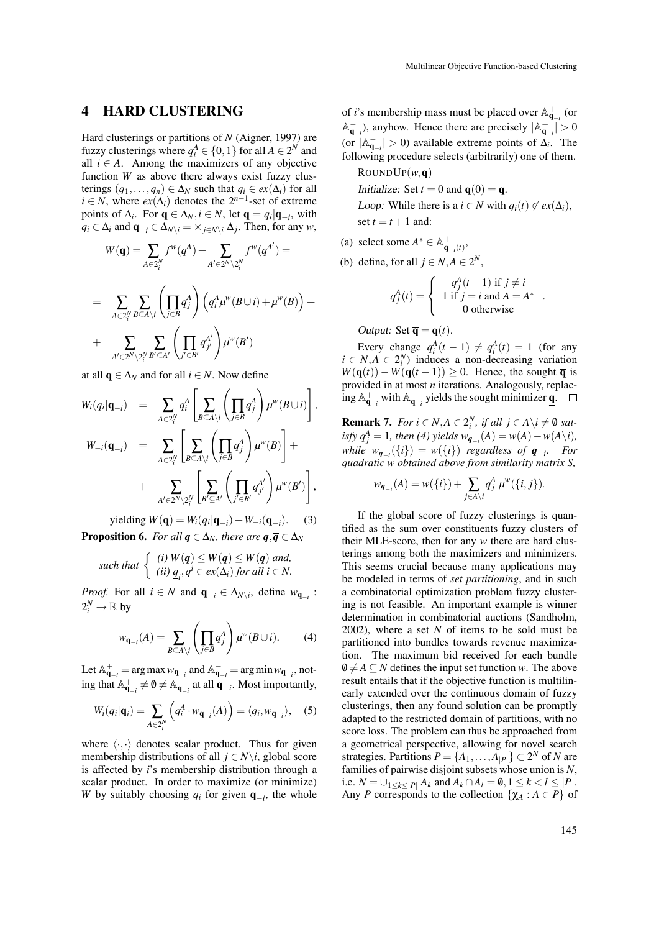## 4 HARD CLUSTERING

Hard clusterings or partitions of *N* (Aigner, 1997) are fuzzy clusterings where  $q_i^A \in \{0, 1\}$  for all  $A \in 2^N$  and all  $i \in A$ . Among the maximizers of any objective function *W* as above there always exist fuzzy clusterings  $(q_1,...,q_n) \in \Delta_N$  such that  $q_i \in ex(\Delta_i)$  for all  $i \in N$ , where  $ex(\Delta_i)$  denotes the  $2^{n-1}$ -set of extreme points of  $\Delta_i$ . For  $\mathbf{q} \in \Delta_N$ ,  $i \in N$ , let  $\mathbf{q} = q_i | \mathbf{q}_{-i}$ , with *q*<sub>*i*</sub> ∈  $\Delta$ *i* and  $\mathbf{q}_{-i}$  ∈  $\Delta$ <sub>*N*\*i*</sub> =  $\times$  *j*∈*N*\*i*  $\Delta$ *j*. Then, for any *w*,

$$
W(\mathbf{q}) = \sum_{A \in 2_i^N} f^w(q^A) + \sum_{A' \in 2^N \setminus 2_i^N} f^w(q^{A'}) =
$$
  
= 
$$
\sum_{A \in 2_i^N} \sum_{B \subseteq A \setminus i} \left( \prod_{j \in B} q_j^A \right) \left( q_i^A \mu^w(B \cup i) + \mu^w(B) \right) +
$$
  
+ 
$$
\sum_{A' \in 2^N \setminus 2_i^N} \sum_{B' \subseteq A'} \left( \prod_{j' \in B'} q_{j'}^{A'} \right) \mu^w(B')
$$

at all  $\mathbf{q} \in \Delta_N$  and for all  $i \in N$ . Now define

$$
W_i(q_i|\mathbf{q}_{-i}) = \sum_{A \in 2_i^N} q_i^A \left[ \sum_{B \subseteq A \setminus i} \left( \prod_{j \in B} q_j^A \right) \mu^w(B \cup i) \right],
$$
  

$$
W_{-i}(\mathbf{q}_{-i}) = \sum_{A \in 2_i^N} \left[ \sum_{B \subseteq A \setminus i} \left( \prod_{j \in B} q_j^A \right) \mu^w(B) \right] +
$$
  

$$
+ \sum_{A' \in 2^N \setminus 2_i^N} \left[ \sum_{B' \subseteq A'} \left( \prod_{j' \in B'} q_{j'}^{A'} \right) \mu^w(B') \right],
$$

 $y$ ielding  $W(\mathbf{q}) = W_i(q_i|\mathbf{q}_{-i}) + W_{-i}(\mathbf{q}_{-i}).$  (3) **Proposition 6.** *For all*  $q \in \Delta_N$ *, there are*  $q, \overline{q} \in \Delta_N$ 

such that 
$$
\begin{cases} (i) W(\underline{q}) \leq W(q) \leq W(\overline{q}) \text{ and,} \\ (ii) q_i, \overline{q}^i \in ex(\Delta_i) \text{ for all } i \in N. \end{cases}
$$

*Proof.* For all  $i \in N$  and  $\mathbf{q}_{-i} \in \Delta_{N \setminus i}$ , define  $w_{\mathbf{q}_{-i}}$ :  $2_i^N \to \mathbb{R}$  by

$$
w_{\mathbf{q}_{-i}}(A) = \sum_{B \subseteq A \backslash i} \left( \prod_{j \in B} q_j^A \right) \mu^w(B \cup i). \tag{4}
$$

Let  $\mathbb{A}_{\mathbf{q}_{-i}}^+$  = arg max  $w_{\mathbf{q}_{-i}}$  and  $\mathbb{A}_{\mathbf{q}_{-i}}^-$  = arg min  $w_{\mathbf{q}_{-i}}$ , noting that  $\mathbb{A}_{\mathbf{q}_{-i}}^+ \neq \emptyset \neq \mathbb{A}_{\mathbf{q}_{-i}}^-$  at all  $\mathbf{q}_{-i}$ . Most importantly,

$$
W_i(q_i|\mathbf{q}_i) = \sum_{A \in 2_i^N} \left( q_i^A \cdot w_{\mathbf{q}_{-i}}(A) \right) = \langle q_i, w_{\mathbf{q}_{-i}} \rangle, \quad (5)
$$

where  $\langle \cdot, \cdot \rangle$  denotes scalar product. Thus for given membership distributions of all  $j \in N \setminus i$ , global score is affected by *i*'s membership distribution through a scalar product. In order to maximize (or minimize) *W* by suitably choosing  $q_i$  for given  $\mathbf{q}_{-i}$ , the whole

of *i*'s membership mass must be placed over  $\mathbb{A}_{\mathbf{q}_{-i}}^+$  (or  $\mathbb{A}_{\mathbf{q}_{-i}}^{-}$ ), anyhow. Hence there are precisely  $|\mathbb{A}_{\mathbf{q}_{-i}}^{+}| > 0$ (or  $|A_{\mathbf{q}_{-i}}| > 0$ ) available extreme points of  $\Delta_i$ . The following procedure selects (arbitrarily) one of them.

- $\text{RoundP}(w, \mathbf{q})$ Initialize: Set  $t = 0$  and  $q(0) = q$ . *Loop:* While there is a *i*  $\in$  *N* with  $q_i(t) \notin ex(\Delta_i)$ , set  $t = t + 1$  and:
- (a) select some  $A^* \in \mathbb{A}_{\mathbf{q}_{-i}(t)}^+$ ,
- (b) define, for all  $j \in N, A \in 2^N$ ,

$$
q_j^A(t) = \begin{cases} q_j^A(t-1) & \text{if } j \neq i \\ 1 & \text{if } j = i \text{ and } A = A^* \\ 0 & \text{otherwise} \end{cases}
$$

.

Output: Set  $\overline{\mathbf{q}} = \mathbf{q}(t)$ .

Every change  $q_i^A(t-1) \neq q_i^A(t) = 1$  (for any  $i \in N, A \in 2^N$  induces a non-decreasing variation  $W(\mathbf{q}(t)) - W(\mathbf{q}(t-1)) \ge 0$ . Hence, the sought  $\overline{\mathbf{q}}$  is provided in at most *n* iterations. Analogously, replacing  $\mathbb{A}_{\mathbf{q}_{-i}}^+$  with  $\mathbb{A}_{\mathbf{q}_{-i}}^-$  yields the sought minimizer  $\underline{\mathbf{q}}$ .

**Remark 7.** *For*  $i \in N, A \in 2^N$ , *if all*  $j \in A \setminus i \neq \emptyset$  *sat* $i$ *sfy*  $q_j^A = 1$ *, then* (4) yields  $w_{q_{-i}}(A) = w(A) - w(A \setminus i)$ , *while*  $w_{\mathbf{q}_{-i}}(\{i\}) = w(\{i\})$  *regardless of*  $\mathbf{q}_{-i}$ . For *quadratic w obtained above from similarity matrix S,*

$$
w_{\boldsymbol{q}_{-i}}(A) = w(\{i\}) + \sum_{j \in A \setminus i} q_j^A \mu^w(\{i, j\}).
$$

If the global score of fuzzy clusterings is quantified as the sum over constituents fuzzy clusters of their MLE-score, then for any *w* there are hard clusterings among both the maximizers and minimizers. This seems crucial because many applications may be modeled in terms of *set partitioning*, and in such a combinatorial optimization problem fuzzy clustering is not feasible. An important example is winner determination in combinatorial auctions (Sandholm, 2002), where a set *N* of items to be sold must be partitioned into bundles towards revenue maximization. The maximum bid received for each bundle  $0 \neq A \subseteq N$  defines the input set function *w*. The above result entails that if the objective function is multilinearly extended over the continuous domain of fuzzy clusterings, then any found solution can be promptly adapted to the restricted domain of partitions, with no score loss. The problem can thus be approached from a geometrical perspective, allowing for novel search strategies. Partitions  $P = \{A_1, \ldots, A_{|P|}\} \subset 2^N$  of *N* are families of pairwise disjoint subsets whose union is *N*, i.e. *N* = ∪<sub>1≤*k*≤|*P*|</sub>  $A_k$  and  $A_k ∩ A_l = \emptyset$ , 1 ≤ *k* < *l* ≤ |*P*|. Any *P* corresponds to the collection  $\{\chi_A : A \in P\}$  of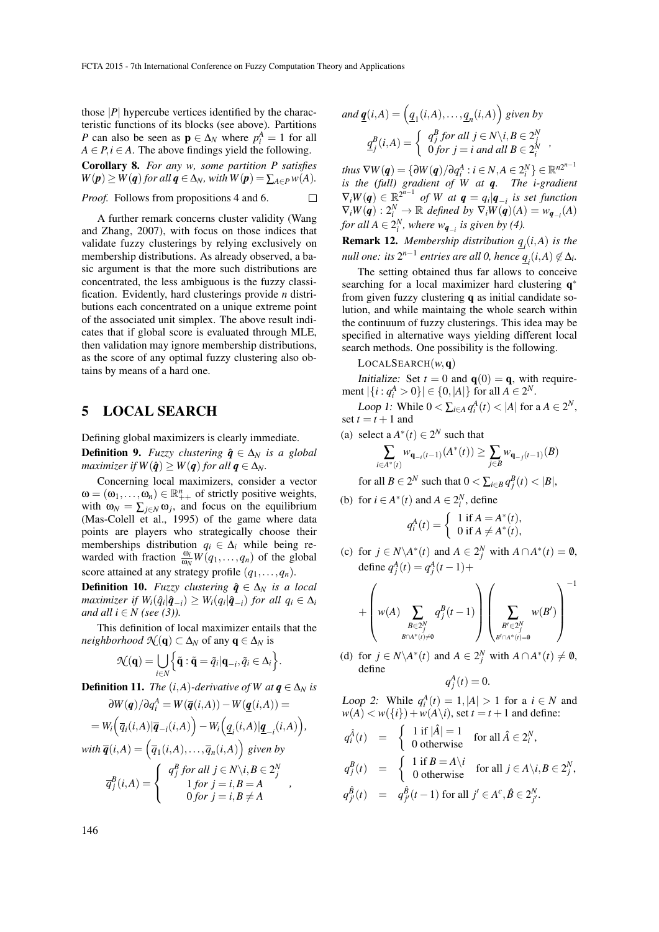those  $|P|$  hypercube vertices identified by the characteristic functions of its blocks (see above). Partitions *P* can also be seen as  $\mathbf{p} \in \Delta_N$  where  $p_i^A = 1$  for all  $A \in P, i \in A$ . The above findings yield the following.

Corollary 8. *For any w, some partition P satisfies*  $W(p) \geq W(q)$  *for all*  $q \in \Delta_N$ *, with*  $W(p) = \sum_{A \in P} w(A)$ *.* 

*Proof.* Follows from propositions 4 and 6.  $\Box$ 

A further remark concerns cluster validity (Wang and Zhang, 2007), with focus on those indices that validate fuzzy clusterings by relying exclusively on membership distributions. As already observed, a basic argument is that the more such distributions are concentrated, the less ambiguous is the fuzzy classification. Evidently, hard clusterings provide *n* distributions each concentrated on a unique extreme point of the associated unit simplex. The above result indicates that if global score is evaluated through MLE, then validation may ignore membership distributions, as the score of any optimal fuzzy clustering also obtains by means of a hard one.

### 5 LOCAL SEARCH

Defining global maximizers is clearly immediate.

**Definition 9.** *Fuzzy clustering*  $\hat{q} \in \Delta_N$  *is a global maximizer if*  $W(\hat{q}) \geq W(q)$  *for all*  $q \in \Delta_N$ *.* 

Concerning local maximizers, consider a vector  $\omega = (\omega_1, \dots, \omega_n) \in \mathbb{R}_{++}^n$  of strictly positive weights, with  $\omega_N = \sum_{j \in N} \omega_j$ , and focus on the equilibrium (Mas-Colell et al., 1995) of the game where data points are players who strategically choose their memberships distribution  $q_i \in \Delta_i$  while being rewarded with fraction  $\frac{\omega_i}{\omega_N}W(q_1,\ldots,q_n)$  of the global score attained at any strategy profile  $(q_1, \ldots, q_n)$ .

**Definition 10.** *Fuzzy clustering*  $\hat{q} \in \Delta_N$  *is a local*  $maximize r$  if  $W_i(\hat{q}_i|\hat{q}_{-i}) \geq W_i(q_i|\hat{q}_{-i})$  *for all*  $q_i \in \Delta_i$ *and all i*  $\in$  *N* (see (3)).

This definition of local maximizer entails that the *neighborhood*  $\mathcal{N}(\mathbf{q}) \subset \Delta_N$  of any  $\mathbf{q} \in \Delta_N$  is

$$
\mathcal{N}(\mathbf{q}) = \bigcup_{i \in N} \Big\{ \tilde{\mathbf{q}} : \tilde{\mathbf{q}} = \tilde{q}_i | \mathbf{q}_{-i}, \tilde{q}_i \in \Delta_i \Big\}.
$$

**Definition 11.** *The*  $(i, A)$ *-derivative of W at*  $q \in \Delta_N$  *is* 

$$
\frac{\partial W(\boldsymbol{q})}{\partial q_i^A} = W(\overline{\boldsymbol{q}}(i,A)) - W(\underline{\boldsymbol{q}}(i,A)) =
$$
  
= 
$$
W_i\Big(\overline{q}_i(i,A)|\overline{\boldsymbol{q}}_{-i}(i,A)\Big) - W_i\Big(\underline{q}_i(i,A)|\underline{\boldsymbol{q}}_{-i}(i,A)\Big),
$$
  
with 
$$
\overline{\boldsymbol{q}}(i,A) = \Big(\overline{q}_1(i,A),\ldots,\overline{q}_n(i,A)\Big) \text{ given by}
$$

$$
\overline{q}_{j}^{B}(i,A) = \left\{ \begin{array}{c} q_{j}^{B} \text{ for all } j \in N \backslash i, B \in 2_{j}^{N} \\ 1 \text{ for } j = i, B = A \\ 0 \text{ for } j = i, B \neq A \end{array} \right. ,
$$

and 
$$
\underline{\mathbf{q}}(i, A) = (q_1(i, A), \dots, q_n(i, A))
$$
 given by  
\n
$$
q_j^B(i, A) = \begin{cases} q_j^B \text{ for all } j \in N \setminus i, B \in 2_j^N \\ 0 \text{ for } j = i \text{ and all } B \in 2_i^N \end{cases}
$$

 $\tanhus \nabla W(\boldsymbol{q}) = \{ \partial W(\boldsymbol{q}) / \partial q_i^A : i \in N, A \in 2_i^N \} \in \mathbb{R}^{n2^{n-1}}$ *is the (full) gradient of W at q. The i-gradient*  $\nabla_i W(q) \in \mathbb{R}^{2^{n-1}}$  of W at  $q = q_i | q_{-i}$  is set function  $\nabla_i W(\boldsymbol{q}) : 2_i^N \to \mathbb{R}$  defined by  $\nabla_i W(\boldsymbol{q}) (A) = w_{\boldsymbol{q}_{-i}}(A)$ *for all*  $A \in 2_i^N$ , where  $w_{\mathbf{q}_{-i}}$  is given by (4).

Remark 12. *Membership distribution q<sup>i</sup>* (*i*,*A*) *is the null one: its*  $2^{n-1}$  *entries are all 0, hence*  $\underline{q}_i(i, A) \not\in \Delta_i$ *.* 

The setting obtained thus far allows to conceive searching for a local maximizer hard clustering **q**<sup>\*</sup> from given fuzzy clustering q as initial candidate solution, and while maintaing the whole search within the continuum of fuzzy clusterings. This idea may be specified in alternative ways yielding different local search methods. One possibility is the following.

LOCALSEARCH(*w*,q)

Initialize: Set  $t = 0$  and  $q(0) = q$ , with requirement  $|\{i : q_i^A > 0\}| \in \{0, |A|\}$  for all  $A \in 2^N$ .

*Loop 1:* While  $0 < \sum_{i \in A} q_i^A(t) < |A|$  for a  $A \in 2^N$ , set  $t = t + 1$  and

(a) select a  $A^*(t) \in 2^N$  such that

$$
\sum_{i \in A^*(t)} w_{\mathbf{q}_{-i}(t-1)}(A^*(t)) \ge \sum_{j \in B} w_{\mathbf{q}_{-j}(t-1)}(B)
$$

for all  $B \in 2^N$  such that  $0 < \sum_{i \in B} q_j^B(t) < |B|$ ,

(b) for 
$$
i \in A^*(t)
$$
 and  $A \in 2_i^N$ , define

$$
q_i^A(t) = \begin{cases} 1 \text{ if } A = A^*(t), \\ 0 \text{ if } A \neq A^*(t), \end{cases}
$$

(c) for  $j \in N \setminus A^*(t)$  and  $A \in 2^N_j$  with  $A \cap A^*(t) = \emptyset$ , define  $q_j^A(t) = q_j^A(t-1) +$ 

$$
+ \left(w(A)\sum_{\substack{B \in 2^N_j \\ B \cap A^*(t) \neq \emptyset}} q_j^B(t-1)\right)\left(\sum_{\substack{B' \in 2^N_j \\ B' \cap A^*(t) = \emptyset}} w(B')\right)^{-1}
$$

(d) for  $j \in N \setminus A^*(t)$  and  $A \in 2^N_j$  with  $A \cap A^*(t) \neq \emptyset$ , define *A*

$$
q_j^A(t)=0.
$$

Loop 2: While  $q_i^A(t) = 1, |A| > 1$  for a  $i \in N$  and  $w(A) < w({i}) + w(A \backslash i)$ , set  $t = t + 1$  and define:

$$
q_i^{\hat{A}}(t) = \begin{cases} 1 \text{ if } |\hat{A}| = 1 \\ 0 \text{ otherwise} \end{cases} \text{ for all } \hat{A} \in 2_i^N,
$$
  
\n
$$
q_j^B(t) = \begin{cases} 1 \text{ if } B = A \setminus i \\ 0 \text{ otherwise} \end{cases} \text{ for all } j \in A \setminus i, B \in 2_j^N,
$$
  
\n
$$
q_{j'}^{\hat{B}}(t) = q_{j'}^{\hat{B}}(t-1) \text{ for all } j' \in A^c, \hat{B} \in 2_{j'}^N.
$$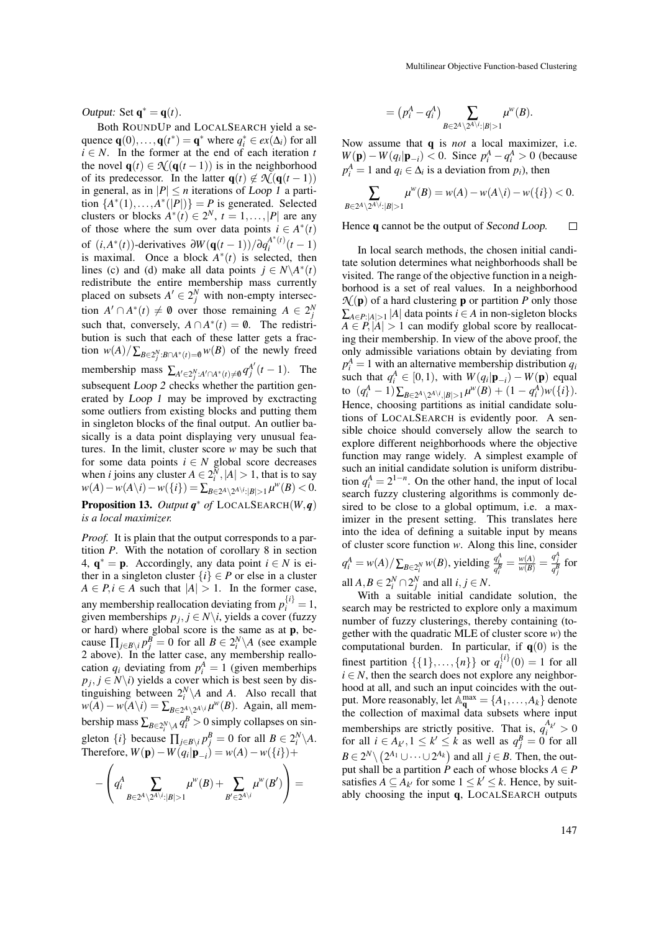Output: Set  $\mathbf{q}^* = \mathbf{q}(t)$ .

Both ROUNDUP and LOCALSEARCH yield a sequence  $\mathbf{q}(0), \dots, \mathbf{q}(t^*) = \mathbf{q}^*$  where  $q_i^* \in ex(\Delta_i)$  for all  $i \in N$ . In the former at the end of each iteration *t* the novel  $\mathbf{q}(t) \in \mathcal{N}(\mathbf{q}(t-1))$  is in the neighborhood of its predecessor. In the latter  $q(t) \notin \mathcal{N}(q(t-1))$ in general, as in  $|P| \le n$  iterations of Loop 1 a partition  $\{A^*(1),...,A^*(|P|)\}=P$  is generated. Selected clusters or blocks  $A^*(t) \in 2^N$ ,  $t = 1, ..., |P|$  are any of those where the sum over data points  $i \in A^*(t)$ of  $(i, A^*(t))$ -derivatives  $\partial W(\mathbf{q}(t-1))/\partial q_i^{A^*(t)}$  $\int_{i}^{A^{(t)}}(t-1)$ is maximal. Once a block  $A^*(t)$  is selected, then lines (c) and (d) make all data points  $j \in N \setminus A^*(t)$ redistribute the entire membership mass currently placed on subsets  $A' \in 2^N_j$  with non-empty intersection  $A' \cap A^*(t) \neq \emptyset$  over those remaining  $A \in 2^N_j$ such that, conversely,  $A \cap A^*(t) = \emptyset$ . The redistribution is such that each of these latter gets a fraction  $w(A)/\sum_{B\in 2^N_j:B\cap A^*(t)=\emptyset}w(B)$  of the newly freed membership mass  $\sum_{A' \in 2^N_j : A' \cap A^*(t) \neq \emptyset} q_j^{A'}(t-1)$ . The subsequent *Loop 2* checks whether the partition generated by Loop 1 may be improved by exctracting some outliers from existing blocks and putting them in singleton blocks of the final output. An outlier basically is a data point displaying very unusual features. In the limit, cluster score *w* may be such that for some data points  $i \in N$  global score decreases when *i* joins any cluster  $A \in 2_i^N$ ,  $|A| > 1$ , that is to say *w*(*A*)−*w*(*A*\*i*)−*w*({*i*}) = ∑*B*∈2<sup>*A*</sup>\2<sup>*A*\*i*</sup>:|*B*|>1</sub> $\mu^W(B) < 0$ . Proposition 13. *Output q* ∗ *of* LOCALSEARCH(*W*,*q*)

#### *is a local maximizer.*

*Proof.* It is plain that the output corresponds to a partition *P*. With the notation of corollary 8 in section 4,  $\mathbf{q}^* = \mathbf{p}$ . Accordingly, any data point  $i \in N$  is either in a singleton cluster  $\{i\} \in P$  or else in a cluster  $A \in P, i \in A$  such that  $|A| > 1$ . In the former case, any membership reallocation deviating from  $p_i^{\{i\}} = 1$ , given memberships  $p_j$ ,  $j \in N \setminus i$ , yields a cover (fuzzy or hard) where global score is the same as at p, because  $\prod_{j\in B\setminus i} p_j^B = 0$  for all  $B \in 2_i^N \setminus A$  (see example 2 above). In the latter case, any membership reallocation  $q_i$  deviating from  $p_i^A = 1$  (given memberhips  $p_j$ ,  $j \in N \setminus i$ ) yields a cover which is best seen by distinguishing between  $2_i^N \setminus A$  and *A*. Also recall that  $w(A) - w(A \setminus i) = \sum_{B \in 2^A \setminus 2^{A \setminus i}} \mu^w(B)$ . Again, all membership mass  $\sum_{B \in 2_i^N \setminus A} q_i^B > 0$  simply collapses on singleton  $\{i\}$  because  $\prod_{j \in B \setminus i} p_j^B = 0$  for all  $B \in 2_i^N \setminus A$ .  $\text{Therefore, } W(\mathbf{p}) - W(q_i|\mathbf{p}_{-i}) = w(A) - w({i}) +$ 

$$
-\left(q_i^A\sum_{B\in 2^A\backslash 2^{A\backslash i}:|B|>1}\mu^w(B)+\sum_{B'\in 2^{A\backslash i}}\mu^w(B')\right)=
$$

$$
=(p_i^A-q_i^A)\sum_{B\in 2^A\setminus 2^{A\setminus i}:|B|>1}\mu^w(B).
$$

Now assume that q is *not* a local maximizer, i.e. *W*(**p**) − *W*( $q_i | \mathbf{p}_{-i}$ ) < 0. Since  $p_i^A - q_i^A > 0$  (because  $p_i^A = 1$  and  $q_i \in \Delta_i$  is a deviation from  $p_i$ ), then

$$
\sum_{B\in 2^A\setminus 2^{A\setminus i}:|B|>1}\mu^w(B)=w(A)-w(A\setminus i)-w(\{i\})<0.
$$

Hence q cannot be the output of Second Loop.  $\Box$ 

In local search methods, the chosen initial canditate solution determines what neighborhoods shall be visited. The range of the objective function in a neighborhood is a set of real values. In a neighborhood  $\mathcal{N}(\mathbf{p})$  of a hard clustering **p** or partition *P* only those  $\sum_{A \in P:|A|>1} |A|$  data points *i* ∈ *A* in non-sigleton blocks  $A \in P$ ,  $|A| > 1$  can modify global score by reallocating their membership. In view of the above proof, the only admissible variations obtain by deviating from  $p_i^A = 1$  with an alternative membership distribution *q*<sub>*i*</sub> such that  $q_i^A \in [0,1)$ , with  $W(q_i|\mathbf{p}_{-i}) - W(\mathbf{p})$  equal to  $(q_i^A - 1) \sum_{B \in 2^A \setminus 2^{A \setminus i},|B| > 1} \mu^w(B) + (1 - q_i^A) w({i}).$ Hence, choosing partitions as initial candidate solutions of LOCALSEARCH is evidently poor. A sensible choice should conversely allow the search to explore different neighborhoods where the objective function may range widely. A simplest example of such an initial candidate solution is uniform distribution  $q_i^A = 2^{1-n}$ . On the other hand, the input of local search fuzzy clustering algorithms is commonly desired to be close to a global optimum, i.e. a maximizer in the present setting. This translates here into the idea of defining a suitable input by means of cluster score function *w*. Along this line, consider  $q_i^A = w(A)/\sum_{B \in 2_i^N} w(B)$ , yielding  $\frac{q_i^A}{q_i^B} = \frac{w(A)}{w(B)} = \frac{q_j^A}{q_j^B}$  for all  $A, B \in 2^N_i \cap 2^N_j$  and all  $i, j \in N$ .

With a suitable initial candidate solution, the search may be restricted to explore only a maximum number of fuzzy clusterings, thereby containing (together with the quadratic MLE of cluster score *w*) the computational burden. In particular, if  $q(0)$  is the finest partition  $\{\{1\},..., \{n\}\}\$  or  $q_i^{\{i\}}(0) = 1$  for all  $i \in N$ , then the search does not explore any neighborhood at all, and such an input coincides with the output. More reasonably, let  $\mathbb{A}_{\mathbf{q}}^{\max} = \{A_1, \ldots, A_k\}$  denote the collection of maximal data subsets where input memberships are strictly positive. That is,  $q_i^{A_{k'}} > 0$ for all  $i \in A_{k'}$ ,  $1 \leq k' \leq k$  as well as  $q_j^B = 0$  for all  $B \in 2^N \setminus (2^{A_1} \cup \cdots \cup 2^{A_k})$  and all *j* ∈ *B*. Then, the output shall be a partition  $\hat{P}$  each of whose blocks  $A \in P$ satisfies  $A \subseteq A_{k'}$  for some  $1 \leq k' \leq k$ . Hence, by suitably choosing the input q, LOCALSEARCH outputs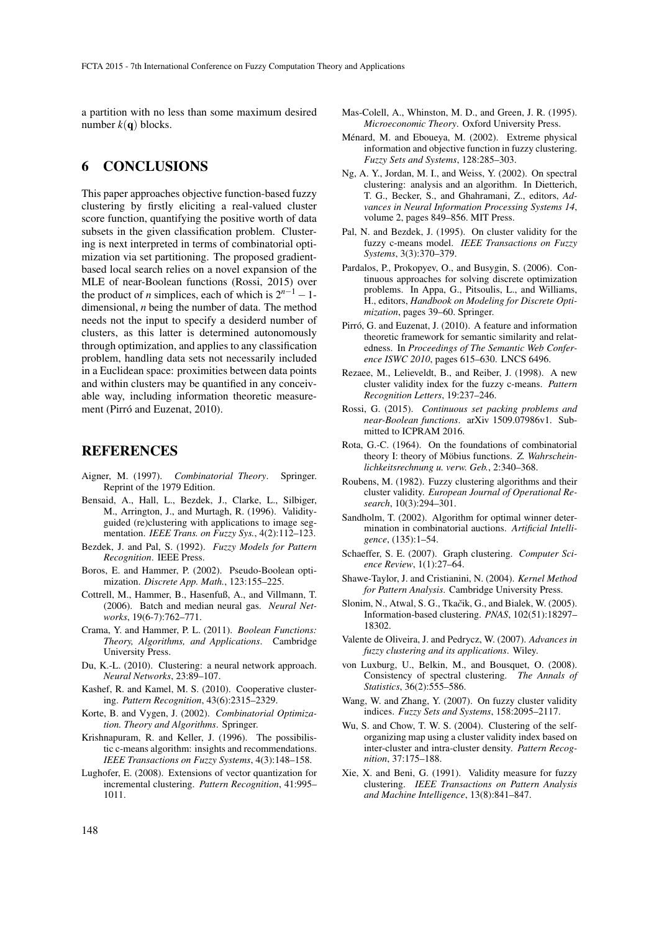a partition with no less than some maximum desired number  $k(\mathbf{q})$  blocks.

## 6 CONCLUSIONS

This paper approaches objective function-based fuzzy clustering by firstly eliciting a real-valued cluster score function, quantifying the positive worth of data subsets in the given classification problem. Clustering is next interpreted in terms of combinatorial optimization via set partitioning. The proposed gradientbased local search relies on a novel expansion of the MLE of near-Boolean functions (Rossi, 2015) over the product of *n* simplices, each of which is  $2^{n-1} - 1$ dimensional, *n* being the number of data. The method needs not the input to specify a desiderd number of clusters, as this latter is determined autonomously through optimization, and applies to any classification problem, handling data sets not necessarily included in a Euclidean space: proximities between data points and within clusters may be quantified in any conceivable way, including information theoretic measurement (Pirró and Euzenat, 2010).

### REFERENCES

- Aigner, M. (1997). *Combinatorial Theory*. Springer. Reprint of the 1979 Edition.
- Bensaid, A., Hall, L., Bezdek, J., Clarke, L., Silbiger, M., Arrington, J., and Murtagh, R. (1996). Validityguided (re)clustering with applications to image segmentation. *IEEE Trans. on Fuzzy Sys.*, 4(2):112–123.
- Bezdek, J. and Pal, S. (1992). *Fuzzy Models for Pattern Recognition*. IEEE Press.
- Boros, E. and Hammer, P. (2002). Pseudo-Boolean optimization. *Discrete App. Math.*, 123:155–225.
- Cottrell, M., Hammer, B., Hasenfuß, A., and Villmann, T. (2006). Batch and median neural gas. *Neural Networks*, 19(6-7):762–771.
- Crama, Y. and Hammer, P. L. (2011). *Boolean Functions: Theory, Algorithms, and Applications*. Cambridge University Press.
- Du, K.-L. (2010). Clustering: a neural network approach. *Neural Networks*, 23:89–107.
- Kashef, R. and Kamel, M. S. (2010). Cooperative clustering. *Pattern Recognition*, 43(6):2315–2329.
- Korte, B. and Vygen, J. (2002). *Combinatorial Optimization. Theory and Algorithms*. Springer.
- Krishnapuram, R. and Keller, J. (1996). The possibilistic c-means algorithm: insights and recommendations. *IEEE Transactions on Fuzzy Systems*, 4(3):148–158.
- Lughofer, E. (2008). Extensions of vector quantization for incremental clustering. *Pattern Recognition*, 41:995– 1011.
- Mas-Colell, A., Whinston, M. D., and Green, J. R. (1995). *Microeconomic Theory*. Oxford University Press.
- Ménard, M. and Eboueya, M. (2002). Extreme physical information and objective function in fuzzy clustering. *Fuzzy Sets and Systems*, 128:285–303.
- Ng, A. Y., Jordan, M. I., and Weiss, Y. (2002). On spectral clustering: analysis and an algorithm. In Dietterich, T. G., Becker, S., and Ghahramani, Z., editors, *Advances in Neural Information Processing Systems 14*, volume 2, pages 849–856. MIT Press.
- Pal, N. and Bezdek, J. (1995). On cluster validity for the fuzzy c-means model. *IEEE Transactions on Fuzzy Systems*, 3(3):370–379.
- Pardalos, P., Prokopyev, O., and Busygin, S. (2006). Continuous approaches for solving discrete optimization problems. In Appa, G., Pitsoulis, L., and Williams, H., editors, *Handbook on Modeling for Discrete Optimization*, pages 39–60. Springer.
- Pirró, G. and Euzenat, J. (2010). A feature and information theoretic framework for semantic similarity and relatedness. In *Proceedings of The Semantic Web Conference ISWC 2010*, pages 615–630. LNCS 6496.
- Rezaee, M., Lelieveldt, B., and Reiber, J. (1998). A new cluster validity index for the fuzzy c-means. *Pattern Recognition Letters*, 19:237–246.
- Rossi, G. (2015). *Continuous set packing problems and near-Boolean functions*. arXiv 1509.07986v1. Submitted to ICPRAM 2016.
- Rota, G.-C. (1964). On the foundations of combinatorial theory I: theory of Möbius functions. Z. Wahrschein*lichkeitsrechnung u. verw. Geb.*, 2:340–368.
- Roubens, M. (1982). Fuzzy clustering algorithms and their cluster validity. *European Journal of Operational Research*, 10(3):294–301.
- Sandholm, T. (2002). Algorithm for optimal winner determination in combinatorial auctions. *Artificial Intelligence*, (135):1–54.
- Schaeffer, S. E. (2007). Graph clustering. *Computer Science Review*, 1(1):27–64.
- Shawe-Taylor, J. and Cristianini, N. (2004). *Kernel Method for Pattern Analysis*. Cambridge University Press.
- Slonim, N., Atwal, S. G., Tkačik, G., and Bialek, W. (2005). Information-based clustering. *PNAS*, 102(51):18297– 18302.
- Valente de Oliveira, J. and Pedrycz, W. (2007). *Advances in fuzzy clustering and its applications*. Wiley.
- von Luxburg, U., Belkin, M., and Bousquet, O. (2008). Consistency of spectral clustering. *The Annals of Statistics*, 36(2):555–586.
- Wang, W. and Zhang, Y. (2007). On fuzzy cluster validity indices. *Fuzzy Sets and Systems*, 158:2095–2117.
- Wu, S. and Chow, T. W. S. (2004). Clustering of the selforganizing map using a cluster validity index based on inter-cluster and intra-cluster density. *Pattern Recognition*, 37:175–188.
- Xie, X. and Beni, G. (1991). Validity measure for fuzzy clustering. *IEEE Transactions on Pattern Analysis and Machine Intelligence*, 13(8):841–847.